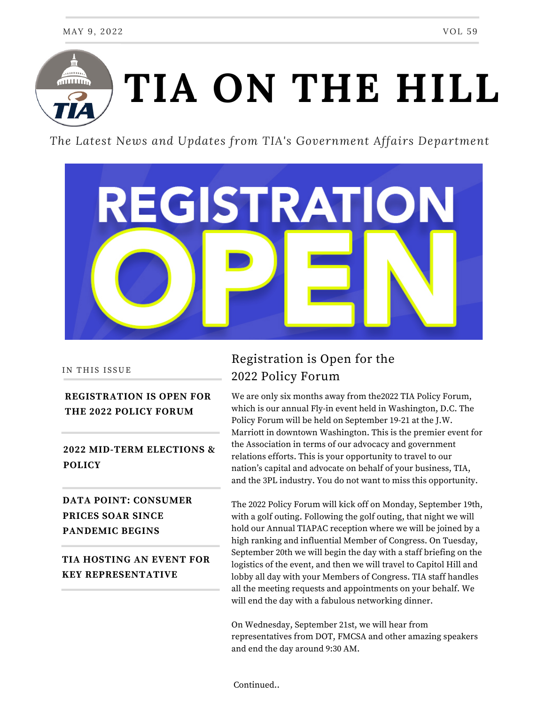

*The Latest News and Updates from TIA's Government Affairs Department*



#### IN THIS ISSUE

### **REGISTRATION IS OPEN FOR THE 2022 POLICY FORUM**

# **2022 MID-TERM ELECTIONS & POLICY**

# **DATA POINT: CONSUMER PRICES SOAR SINCE PANDEMIC BEGINS**

## **TIA HOSTING AN EVENT FOR KEY REPRESENTATIVE**

# Registration is Open for the 2022 Policy Forum

We are only six months away from the2022 TIA Policy [Forum](http://tianet.informz.net/z/cjUucD9taT04NzEwNTEzJnA9MSZ1PTc5NDU0MzQ1MiZsaT03NjIzMDU4MA/index.html), which is our annual Fly-in event held in Washington, D.C. The Policy Forum will be held on September 19-21 at the J.W. Marriott in downtown Washington. This is the premier event for the Association in terms of our advocacy and government relations efforts. This is your opportunity to travel to our nation's capital and advocate on behalf of your business, TIA, and the 3PL industry. You do not want to miss this opportunity.

The 2022 Policy Forum will kick off on Monday, September 19th, with a golf outing. Following the golf outing, that night we will hold our Annual TIAPAC reception where we will be joined by a high ranking and influential Member of Congress. On Tuesday, September 20th we will begin the day with a staff briefing on the logistics of the event, and then we will travel to Capitol Hill and lobby all day with your Members of Congress. TIA staff handles all the meeting requests and appointments on your behalf. We will end the day with a fabulous networking dinner.

On Wednesday, September 21st, we will hear from representatives from DOT, FMCSA and other amazing speakers and end the day around 9:30 AM.

Continued..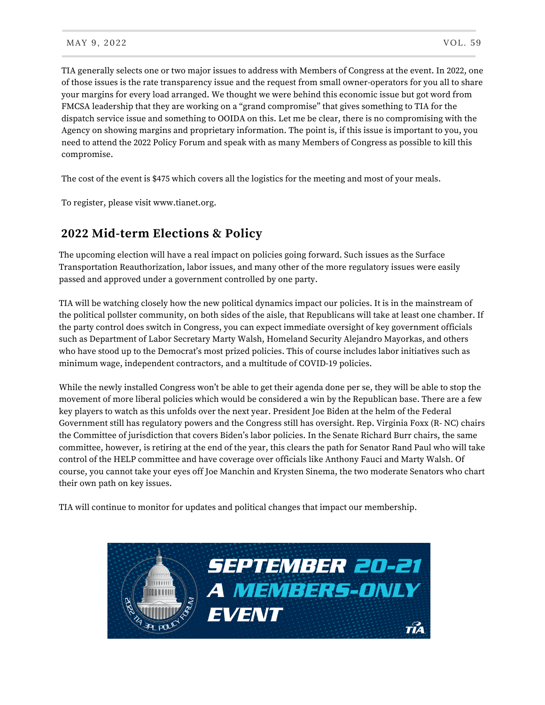TIA generally selects one or two major issues to address with Members of Congress at the event. In 2022, one of those issues is the rate transparency issue and the request from small owner-operators for you all to share your margins for every load arranged. We thought we were behind this economic issue but got word from FMCSA leadership that they are working on a "grand compromise" that gives something to TIA for the dispatch service issue and something to OOIDA on this. Let me be clear, there is no compromising with the Agency on showing margins and proprietary information. The point is, if this issue is important to you, you need to attend the 2022 Policy Forum and speak with as many Members of Congress as possible to kill this compromise.

The cost of the event is \$475 which covers all the logistics for the meeting and most of your meals.

To register, please visit www.tianet.org.

# **2022 Mid-term Elections & Policy**

The upcoming election will have a real impact on policies going forward. Such issues as the Surface Transportation Reauthorization, labor issues, and many other of the more regulatory issues were easily passed and approved under a government controlled by one party.

TIA will be watching closely how the new political dynamics impact our policies. It is in the mainstream of the political pollster community, on both sides of the aisle, that Republicans will take at least one chamber. If the party control does switch in Congress, you can expect immediate oversight of key government officials such as Department of Labor Secretary Marty Walsh, Homeland Security Alejandro Mayorkas, and others who have stood up to the Democrat's most prized policies. This of course includes labor initiatives such as minimum wage, independent contractors, and a multitude of COVID-19 policies.

While the newly installed Congress won't be able to get their agenda done per se, they will be able to stop the movement of more liberal policies which would be considered a win by the Republican base. There are a few key players to watch as this unfolds over the next year. President Joe Biden at the helm of the Federal Government still has regulatory powers and the Congress still has oversight. Rep. Virginia Foxx (R- NC) chairs the Committee of jurisdiction that covers Biden's labor policies. In the Senate Richard Burr chairs, the same committee, however, is retiring at the end of the year, this clears the path for Senator Rand Paul who will take control of the HELP committee and have coverage over officials like Anthony Fauci and Marty Walsh. Of course, you cannot take your eyes off Joe Manchin and Krysten Sinema, the two moderate Senators who chart their own path on key issues.

TIA will continue to monitor for updates and political changes that impact our membership.